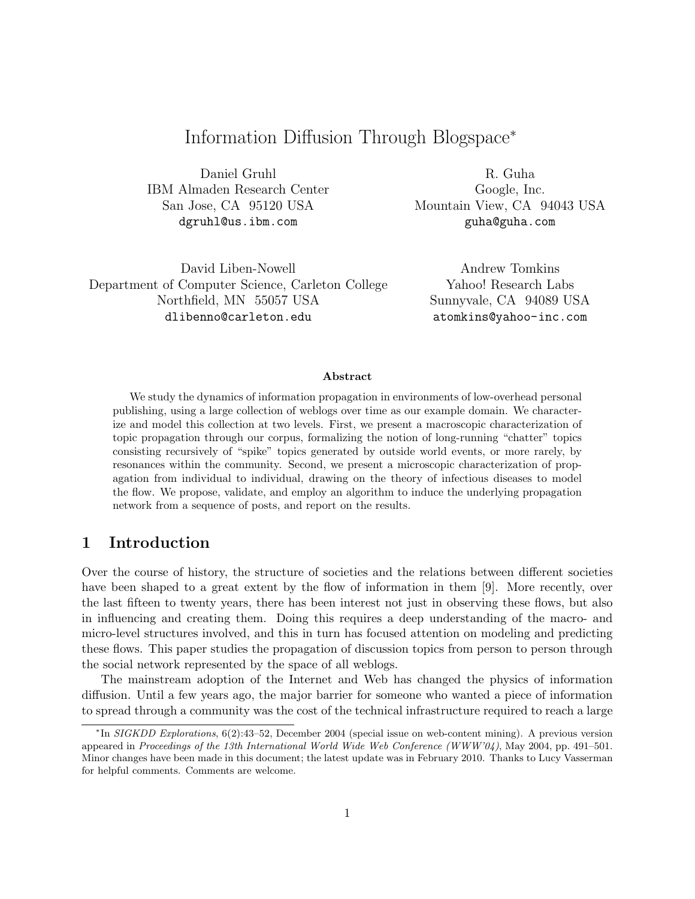# Information Diffusion Through Blogspace<sup>∗</sup>

Daniel Gruhl IBM Almaden Research Center San Jose, CA 95120 USA dgruhl@us.ibm.com

R. Guha Google, Inc. Mountain View, CA 94043 USA guha@guha.com

David Liben-Nowell Department of Computer Science, Carleton College Northfield, MN 55057 USA dlibenno@carleton.edu

Andrew Tomkins Yahoo! Research Labs Sunnyvale, CA 94089 USA atomkins@yahoo-inc.com

#### Abstract

We study the dynamics of information propagation in environments of low-overhead personal publishing, using a large collection of weblogs over time as our example domain. We characterize and model this collection at two levels. First, we present a macroscopic characterization of topic propagation through our corpus, formalizing the notion of long-running "chatter" topics consisting recursively of "spike" topics generated by outside world events, or more rarely, by resonances within the community. Second, we present a microscopic characterization of propagation from individual to individual, drawing on the theory of infectious diseases to model the flow. We propose, validate, and employ an algorithm to induce the underlying propagation network from a sequence of posts, and report on the results.

## 1 Introduction

Over the course of history, the structure of societies and the relations between different societies have been shaped to a great extent by the flow of information in them [9]. More recently, over the last fifteen to twenty years, there has been interest not just in observing these flows, but also in influencing and creating them. Doing this requires a deep understanding of the macro- and micro-level structures involved, and this in turn has focused attention on modeling and predicting these flows. This paper studies the propagation of discussion topics from person to person through the social network represented by the space of all weblogs.

The mainstream adoption of the Internet and Web has changed the physics of information diffusion. Until a few years ago, the major barrier for someone who wanted a piece of information to spread through a community was the cost of the technical infrastructure required to reach a large

<sup>∗</sup> In SIGKDD Explorations, 6(2):43–52, December 2004 (special issue on web-content mining). A previous version appeared in Proceedings of the 13th International World Wide Web Conference (WWW'04), May 2004, pp. 491–501. Minor changes have been made in this document; the latest update was in February 2010. Thanks to Lucy Vasserman for helpful comments. Comments are welcome.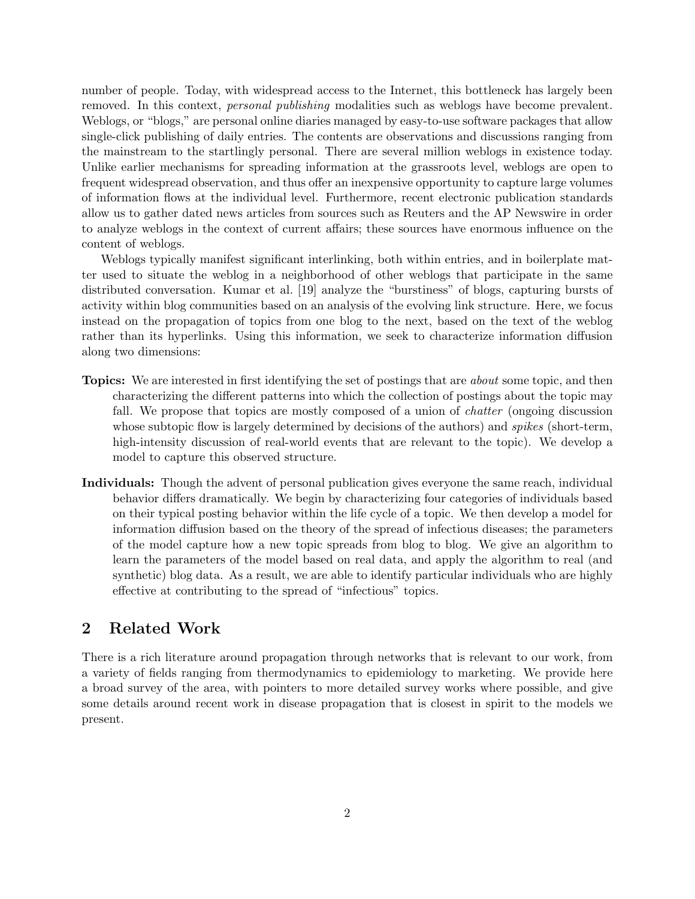number of people. Today, with widespread access to the Internet, this bottleneck has largely been removed. In this context, personal publishing modalities such as weblogs have become prevalent. Weblogs, or "blogs," are personal online diaries managed by easy-to-use software packages that allow single-click publishing of daily entries. The contents are observations and discussions ranging from the mainstream to the startlingly personal. There are several million weblogs in existence today. Unlike earlier mechanisms for spreading information at the grassroots level, weblogs are open to frequent widespread observation, and thus offer an inexpensive opportunity to capture large volumes of information flows at the individual level. Furthermore, recent electronic publication standards allow us to gather dated news articles from sources such as Reuters and the AP Newswire in order to analyze weblogs in the context of current affairs; these sources have enormous influence on the content of weblogs.

Weblogs typically manifest significant interlinking, both within entries, and in boilerplate matter used to situate the weblog in a neighborhood of other weblogs that participate in the same distributed conversation. Kumar et al. [19] analyze the "burstiness" of blogs, capturing bursts of activity within blog communities based on an analysis of the evolving link structure. Here, we focus instead on the propagation of topics from one blog to the next, based on the text of the weblog rather than its hyperlinks. Using this information, we seek to characterize information diffusion along two dimensions:

- Topics: We are interested in first identifying the set of postings that are about some topic, and then characterizing the different patterns into which the collection of postings about the topic may fall. We propose that topics are mostly composed of a union of *chatter* (ongoing discussion whose subtopic flow is largely determined by decisions of the authors) and *spikes* (short-term, high-intensity discussion of real-world events that are relevant to the topic). We develop a model to capture this observed structure.
- Individuals: Though the advent of personal publication gives everyone the same reach, individual behavior differs dramatically. We begin by characterizing four categories of individuals based on their typical posting behavior within the life cycle of a topic. We then develop a model for information diffusion based on the theory of the spread of infectious diseases; the parameters of the model capture how a new topic spreads from blog to blog. We give an algorithm to learn the parameters of the model based on real data, and apply the algorithm to real (and synthetic) blog data. As a result, we are able to identify particular individuals who are highly effective at contributing to the spread of "infectious" topics.

## 2 Related Work

There is a rich literature around propagation through networks that is relevant to our work, from a variety of fields ranging from thermodynamics to epidemiology to marketing. We provide here a broad survey of the area, with pointers to more detailed survey works where possible, and give some details around recent work in disease propagation that is closest in spirit to the models we present.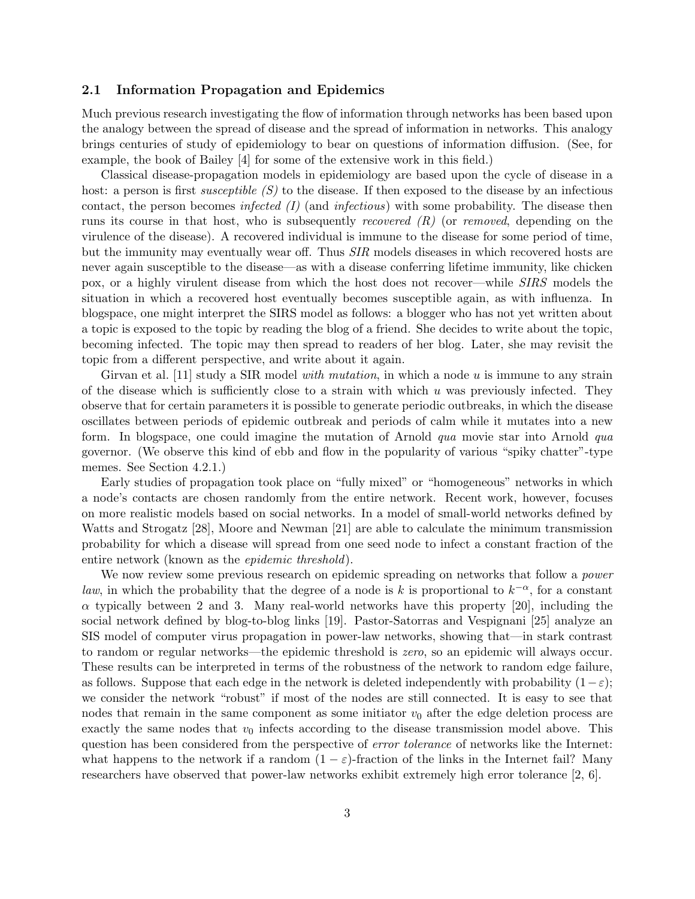### 2.1 Information Propagation and Epidemics

Much previous research investigating the flow of information through networks has been based upon the analogy between the spread of disease and the spread of information in networks. This analogy brings centuries of study of epidemiology to bear on questions of information diffusion. (See, for example, the book of Bailey [4] for some of the extensive work in this field.)

Classical disease-propagation models in epidemiology are based upon the cycle of disease in a host: a person is first *susceptible*  $(S)$  to the disease. If then exposed to the disease by an infectious contact, the person becomes *infected*  $(I)$  (and *infectious*) with some probability. The disease then runs its course in that host, who is subsequently *recovered*  $(R)$  (or *removed*, depending on the virulence of the disease). A recovered individual is immune to the disease for some period of time, but the immunity may eventually wear off. Thus SIR models diseases in which recovered hosts are never again susceptible to the disease—as with a disease conferring lifetime immunity, like chicken pox, or a highly virulent disease from which the host does not recover—while SIRS models the situation in which a recovered host eventually becomes susceptible again, as with influenza. In blogspace, one might interpret the SIRS model as follows: a blogger who has not yet written about a topic is exposed to the topic by reading the blog of a friend. She decides to write about the topic, becoming infected. The topic may then spread to readers of her blog. Later, she may revisit the topic from a different perspective, and write about it again.

Girvan et al. [11] study a SIR model *with mutation*, in which a node u is immune to any strain of the disease which is sufficiently close to a strain with which  $u$  was previously infected. They observe that for certain parameters it is possible to generate periodic outbreaks, in which the disease oscillates between periods of epidemic outbreak and periods of calm while it mutates into a new form. In blogspace, one could imagine the mutation of Arnold qua movie star into Arnold qua governor. (We observe this kind of ebb and flow in the popularity of various "spiky chatter"-type memes. See Section 4.2.1.)

Early studies of propagation took place on "fully mixed" or "homogeneous" networks in which a node's contacts are chosen randomly from the entire network. Recent work, however, focuses on more realistic models based on social networks. In a model of small-world networks defined by Watts and Strogatz [28], Moore and Newman [21] are able to calculate the minimum transmission probability for which a disease will spread from one seed node to infect a constant fraction of the entire network (known as the *epidemic threshold*).

We now review some previous research on epidemic spreading on networks that follow a *power* law, in which the probability that the degree of a node is k is proportional to  $k^{-\alpha}$ , for a constant  $\alpha$  typically between 2 and 3. Many real-world networks have this property [20], including the social network defined by blog-to-blog links [19]. Pastor-Satorras and Vespignani [25] analyze an SIS model of computer virus propagation in power-law networks, showing that—in stark contrast to random or regular networks—the epidemic threshold is zero, so an epidemic will always occur. These results can be interpreted in terms of the robustness of the network to random edge failure, as follows. Suppose that each edge in the network is deleted independently with probability  $(1-\varepsilon)$ ; we consider the network "robust" if most of the nodes are still connected. It is easy to see that nodes that remain in the same component as some initiator  $v_0$  after the edge deletion process are exactly the same nodes that  $v_0$  infects according to the disease transmission model above. This question has been considered from the perspective of error tolerance of networks like the Internet: what happens to the network if a random  $(1 - \varepsilon)$ -fraction of the links in the Internet fail? Many researchers have observed that power-law networks exhibit extremely high error tolerance [2, 6].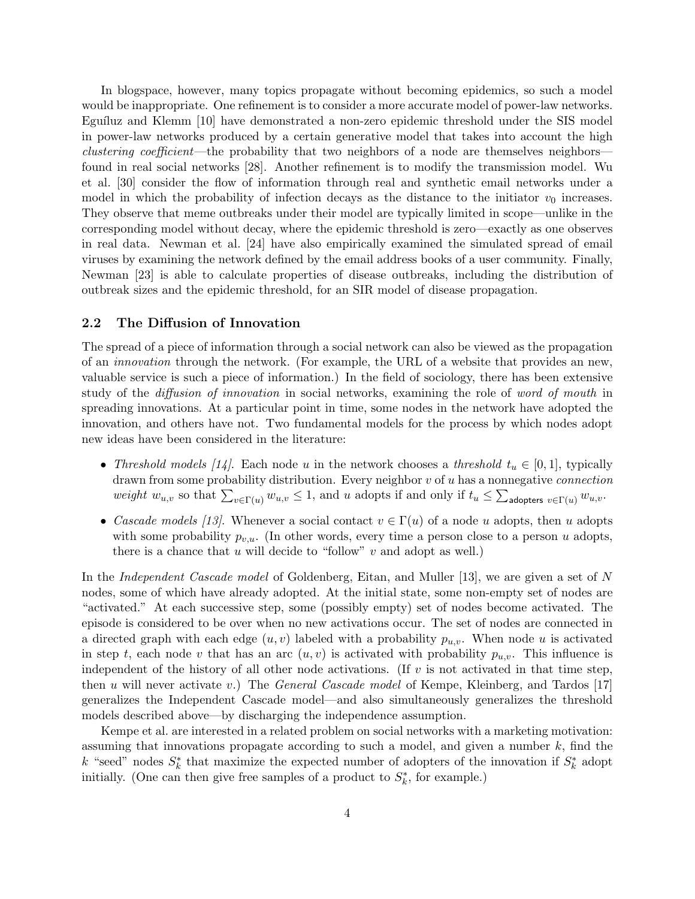In blogspace, however, many topics propagate without becoming epidemics, so such a model would be inappropriate. One refinement is to consider a more accurate model of power-law networks. Eguíluz and Klemm [10] have demonstrated a non-zero epidemic threshold under the SIS model in power-law networks produced by a certain generative model that takes into account the high clustering coefficient—the probability that two neighbors of a node are themselves neighbors found in real social networks [28]. Another refinement is to modify the transmission model. Wu et al. [30] consider the flow of information through real and synthetic email networks under a model in which the probability of infection decays as the distance to the initiator  $v_0$  increases. They observe that meme outbreaks under their model are typically limited in scope—unlike in the corresponding model without decay, where the epidemic threshold is zero—exactly as one observes in real data. Newman et al. [24] have also empirically examined the simulated spread of email viruses by examining the network defined by the email address books of a user community. Finally, Newman [23] is able to calculate properties of disease outbreaks, including the distribution of outbreak sizes and the epidemic threshold, for an SIR model of disease propagation.

### 2.2 The Diffusion of Innovation

The spread of a piece of information through a social network can also be viewed as the propagation of an innovation through the network. (For example, the URL of a website that provides an new, valuable service is such a piece of information.) In the field of sociology, there has been extensive study of the *diffusion of innovation* in social networks, examining the role of word of mouth in spreading innovations. At a particular point in time, some nodes in the network have adopted the innovation, and others have not. Two fundamental models for the process by which nodes adopt new ideas have been considered in the literature:

- Threshold models [14]. Each node u in the network chooses a threshold  $t_u \in [0,1]$ , typically drawn from some probability distribution. Every neighbor  $v$  of  $u$  has a nonnegative *connection* weight  $w_{u,v}$  so that  $\sum_{v \in \Gamma(u)} w_{u,v} \leq 1$ , and u adopts if and only if  $t_u \leq \sum_{\text{adopters}} v \in \Gamma(u) w_{u,v}$ .
- Cascade models [13]. Whenever a social contact  $v \in \Gamma(u)$  of a node u adopts, then u adopts with some probability  $p_{v,u}$ . (In other words, every time a person close to a person u adopts, there is a chance that  $u$  will decide to "follow"  $v$  and adopt as well.)

In the *Independent Cascade model* of Goldenberg, Eitan, and Muller [13], we are given a set of N nodes, some of which have already adopted. At the initial state, some non-empty set of nodes are "activated." At each successive step, some (possibly empty) set of nodes become activated. The episode is considered to be over when no new activations occur. The set of nodes are connected in a directed graph with each edge  $(u, v)$  labeled with a probability  $p_{u,v}$ . When node u is activated in step t, each node v that has an arc  $(u, v)$  is activated with probability  $p_{u,v}$ . This influence is independent of the history of all other node activations. (If  $v$  is not activated in that time step. then u will never activate v.) The *General Cascade model* of Kempe, Kleinberg, and Tardos [17] generalizes the Independent Cascade model—and also simultaneously generalizes the threshold models described above—by discharging the independence assumption.

Kempe et al. are interested in a related problem on social networks with a marketing motivation: assuming that innovations propagate according to such a model, and given a number  $k$ , find the k "seed" nodes  $S_k^*$  that maximize the expected number of adopters of the innovation if  $S_k^*$  adopt initially. (One can then give free samples of a product to  $S_k^*$ , for example.)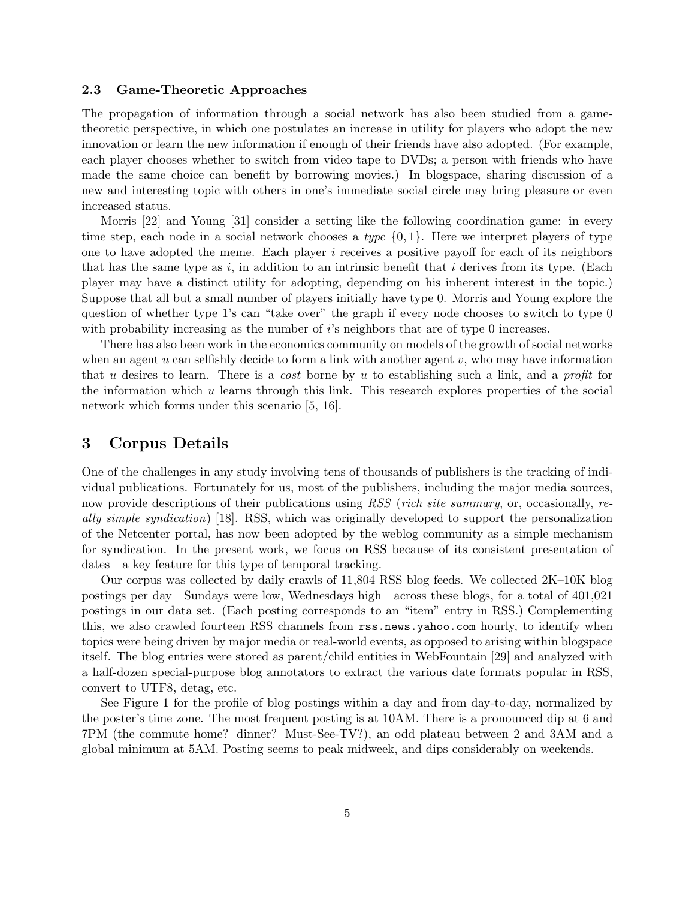### 2.3 Game-Theoretic Approaches

The propagation of information through a social network has also been studied from a gametheoretic perspective, in which one postulates an increase in utility for players who adopt the new innovation or learn the new information if enough of their friends have also adopted. (For example, each player chooses whether to switch from video tape to DVDs; a person with friends who have made the same choice can benefit by borrowing movies.) In blogspace, sharing discussion of a new and interesting topic with others in one's immediate social circle may bring pleasure or even increased status.

Morris [22] and Young [31] consider a setting like the following coordination game: in every time step, each node in a social network chooses a type  $\{0, 1\}$ . Here we interpret players of type one to have adopted the meme. Each player  $i$  receives a positive payoff for each of its neighbors that has the same type as  $i$ , in addition to an intrinsic benefit that  $i$  derives from its type. (Each player may have a distinct utility for adopting, depending on his inherent interest in the topic.) Suppose that all but a small number of players initially have type 0. Morris and Young explore the question of whether type 1's can "take over" the graph if every node chooses to switch to type 0 with probability increasing as the number of i's neighbors that are of type 0 increases.

There has also been work in the economics community on models of the growth of social networks when an agent  $u$  can selfishly decide to form a link with another agent  $v$ , who may have information that u desires to learn. There is a *cost* borne by u to establishing such a link, and a *profit* for the information which  $u$  learns through this link. This research explores properties of the social network which forms under this scenario [5, 16].

## 3 Corpus Details

One of the challenges in any study involving tens of thousands of publishers is the tracking of individual publications. Fortunately for us, most of the publishers, including the major media sources, now provide descriptions of their publications using RSS (rich site summary, or, occasionally, really simple syndication) [18]. RSS, which was originally developed to support the personalization of the Netcenter portal, has now been adopted by the weblog community as a simple mechanism for syndication. In the present work, we focus on RSS because of its consistent presentation of dates—a key feature for this type of temporal tracking.

Our corpus was collected by daily crawls of 11,804 RSS blog feeds. We collected 2K–10K blog postings per day—Sundays were low, Wednesdays high—across these blogs, for a total of 401,021 postings in our data set. (Each posting corresponds to an "item" entry in RSS.) Complementing this, we also crawled fourteen RSS channels from rss.news.yahoo.com hourly, to identify when topics were being driven by major media or real-world events, as opposed to arising within blogspace itself. The blog entries were stored as parent/child entities in WebFountain [29] and analyzed with a half-dozen special-purpose blog annotators to extract the various date formats popular in RSS, convert to UTF8, detag, etc.

See Figure 1 for the profile of blog postings within a day and from day-to-day, normalized by the poster's time zone. The most frequent posting is at 10AM. There is a pronounced dip at 6 and 7PM (the commute home? dinner? Must-See-TV?), an odd plateau between 2 and 3AM and a global minimum at 5AM. Posting seems to peak midweek, and dips considerably on weekends.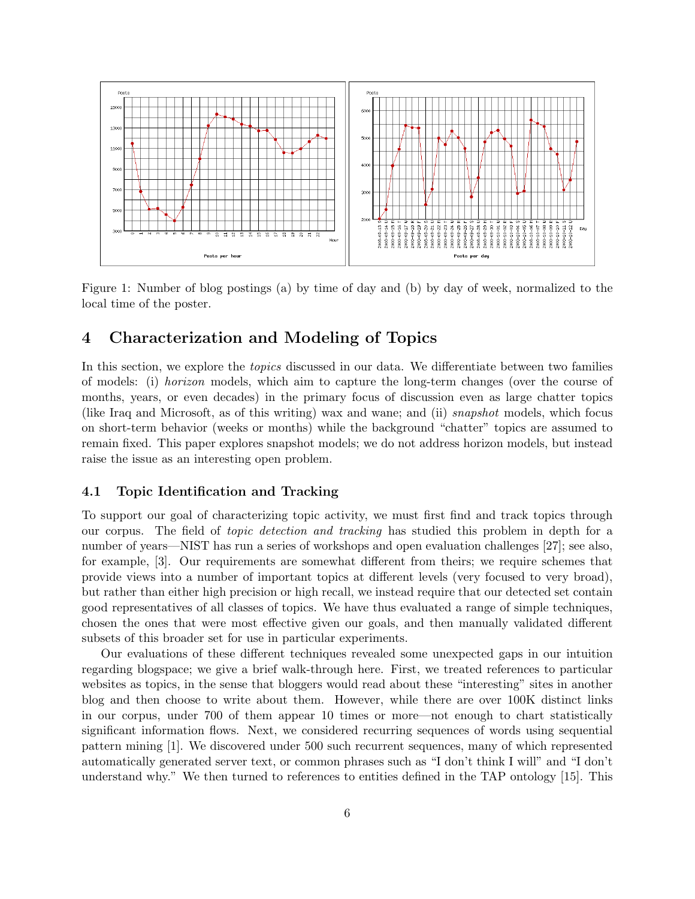

Figure 1: Number of blog postings (a) by time of day and (b) by day of week, normalized to the local time of the poster.

## 4 Characterization and Modeling of Topics

In this section, we explore the topics discussed in our data. We differentiate between two families of models: (i) horizon models, which aim to capture the long-term changes (over the course of months, years, or even decades) in the primary focus of discussion even as large chatter topics (like Iraq and Microsoft, as of this writing) wax and wane; and (ii) snapshot models, which focus on short-term behavior (weeks or months) while the background "chatter" topics are assumed to remain fixed. This paper explores snapshot models; we do not address horizon models, but instead raise the issue as an interesting open problem.

## 4.1 Topic Identification and Tracking

To support our goal of characterizing topic activity, we must first find and track topics through our corpus. The field of topic detection and tracking has studied this problem in depth for a number of years—NIST has run a series of workshops and open evaluation challenges [27]; see also, for example, [3]. Our requirements are somewhat different from theirs; we require schemes that provide views into a number of important topics at different levels (very focused to very broad), but rather than either high precision or high recall, we instead require that our detected set contain good representatives of all classes of topics. We have thus evaluated a range of simple techniques, chosen the ones that were most effective given our goals, and then manually validated different subsets of this broader set for use in particular experiments.

Our evaluations of these different techniques revealed some unexpected gaps in our intuition regarding blogspace; we give a brief walk-through here. First, we treated references to particular websites as topics, in the sense that bloggers would read about these "interesting" sites in another blog and then choose to write about them. However, while there are over 100K distinct links in our corpus, under 700 of them appear 10 times or more—not enough to chart statistically significant information flows. Next, we considered recurring sequences of words using sequential pattern mining [1]. We discovered under 500 such recurrent sequences, many of which represented automatically generated server text, or common phrases such as "I don't think I will" and "I don't understand why." We then turned to references to entities defined in the TAP ontology [15]. This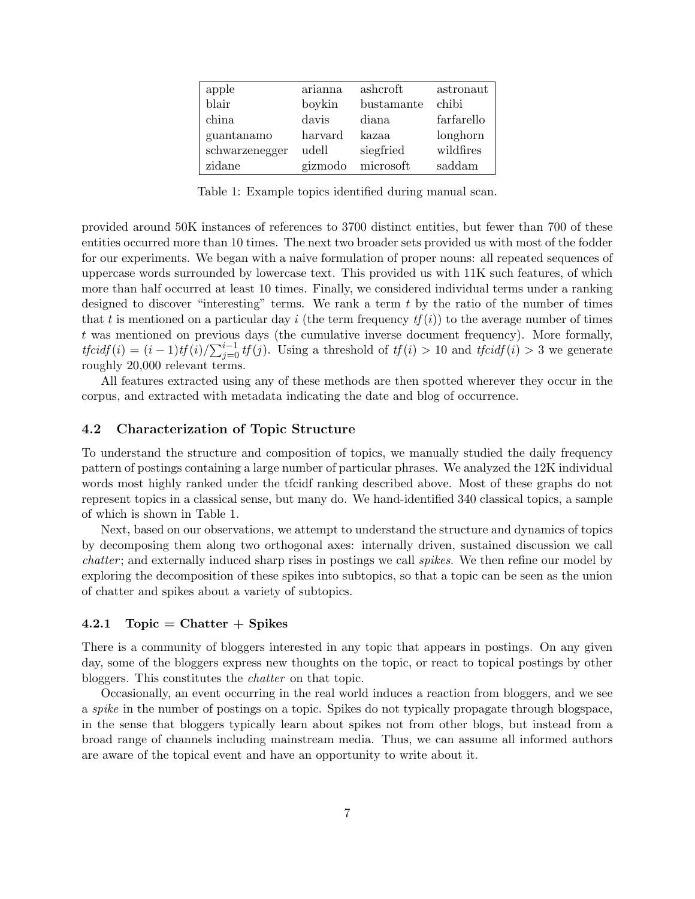| apple          | arianna | ashcroft          | astronaut  |
|----------------|---------|-------------------|------------|
| blair          | boykin  | bustamante        | chibi      |
| china          | davis   | diana             | farfarello |
| guantanamo     | harvard | kazaa             | longhorn   |
| schwarzenegger | udell   | siegfried         | wildfires  |
| zidane         |         | gizmodo microsoft | saddam     |

Table 1: Example topics identified during manual scan.

provided around 50K instances of references to 3700 distinct entities, but fewer than 700 of these entities occurred more than 10 times. The next two broader sets provided us with most of the fodder for our experiments. We began with a naive formulation of proper nouns: all repeated sequences of uppercase words surrounded by lowercase text. This provided us with 11K such features, of which more than half occurred at least 10 times. Finally, we considered individual terms under a ranking designed to discover "interesting" terms. We rank a term  $t$  by the ratio of the number of times that t is mentioned on a particular day i (the term frequency  $tf(i)$ ) to the average number of times t was mentioned on previous days (the cumulative inverse document frequency). More formally,  $t\text{fcid}f(i) = (i-1)tf(i)/\sum_{j=0}^{i-1} tf(j)$ . Using a threshold of  $tf(i) > 10$  and  $t\text{fcid}f(i) > 3$  we generate roughly 20,000 relevant terms.

All features extracted using any of these methods are then spotted wherever they occur in the corpus, and extracted with metadata indicating the date and blog of occurrence.

### 4.2 Characterization of Topic Structure

To understand the structure and composition of topics, we manually studied the daily frequency pattern of postings containing a large number of particular phrases. We analyzed the 12K individual words most highly ranked under the tfcidf ranking described above. Most of these graphs do not represent topics in a classical sense, but many do. We hand-identified 340 classical topics, a sample of which is shown in Table 1.

Next, based on our observations, we attempt to understand the structure and dynamics of topics by decomposing them along two orthogonal axes: internally driven, sustained discussion we call *chatter*; and externally induced sharp rises in postings we call *spikes*. We then refine our model by exploring the decomposition of these spikes into subtopics, so that a topic can be seen as the union of chatter and spikes about a variety of subtopics.

## 4.2.1 Topic = Chatter  $+$  Spikes

There is a community of bloggers interested in any topic that appears in postings. On any given day, some of the bloggers express new thoughts on the topic, or react to topical postings by other bloggers. This constitutes the chatter on that topic.

Occasionally, an event occurring in the real world induces a reaction from bloggers, and we see a spike in the number of postings on a topic. Spikes do not typically propagate through blogspace, in the sense that bloggers typically learn about spikes not from other blogs, but instead from a broad range of channels including mainstream media. Thus, we can assume all informed authors are aware of the topical event and have an opportunity to write about it.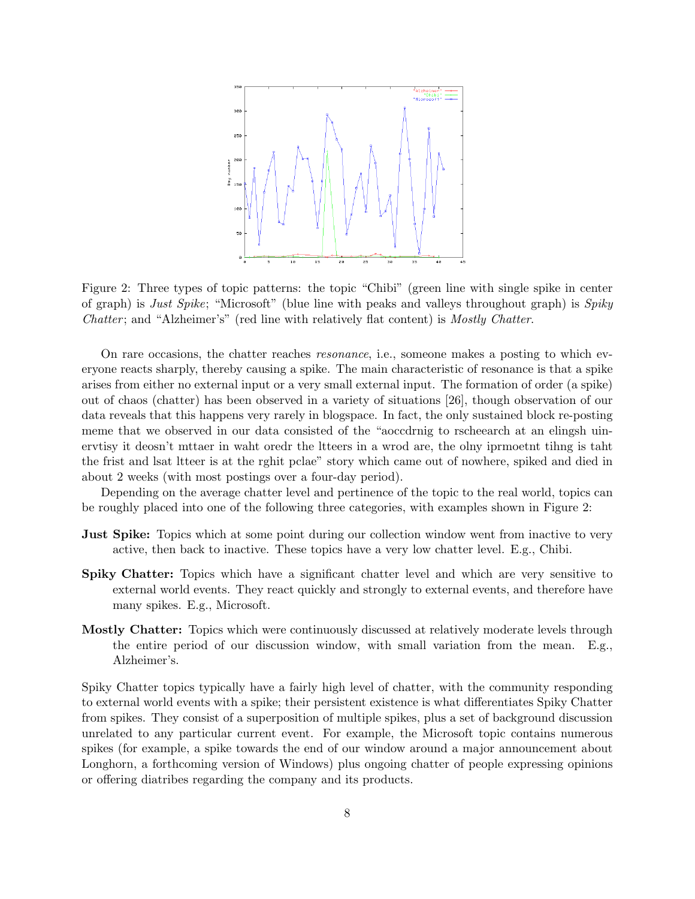

Figure 2: Three types of topic patterns: the topic "Chibi" (green line with single spike in center of graph) is Just Spike; "Microsoft" (blue line with peaks and valleys throughout graph) is Spiky *Chatter*; and "Alzheimer's" (red line with relatively flat content) is *Mostly Chatter*.

On rare occasions, the chatter reaches resonance, i.e., someone makes a posting to which everyone reacts sharply, thereby causing a spike. The main characteristic of resonance is that a spike arises from either no external input or a very small external input. The formation of order (a spike) out of chaos (chatter) has been observed in a variety of situations [26], though observation of our data reveals that this happens very rarely in blogspace. In fact, the only sustained block re-posting meme that we observed in our data consisted of the "aoccdrnig to rscheearch at an elingsh uinervtisy it deosn't mttaer in waht oredr the ltteers in a wrod are, the olny iprmoetnt tihng is taht the frist and lsat ltteer is at the rghit pclae" story which came out of nowhere, spiked and died in about 2 weeks (with most postings over a four-day period).

Depending on the average chatter level and pertinence of the topic to the real world, topics can be roughly placed into one of the following three categories, with examples shown in Figure 2:

- **Just Spike:** Topics which at some point during our collection window went from inactive to very active, then back to inactive. These topics have a very low chatter level. E.g., Chibi.
- Spiky Chatter: Topics which have a significant chatter level and which are very sensitive to external world events. They react quickly and strongly to external events, and therefore have many spikes. E.g., Microsoft.
- Mostly Chatter: Topics which were continuously discussed at relatively moderate levels through the entire period of our discussion window, with small variation from the mean. E.g., Alzheimer's.

Spiky Chatter topics typically have a fairly high level of chatter, with the community responding to external world events with a spike; their persistent existence is what differentiates Spiky Chatter from spikes. They consist of a superposition of multiple spikes, plus a set of background discussion unrelated to any particular current event. For example, the Microsoft topic contains numerous spikes (for example, a spike towards the end of our window around a major announcement about Longhorn, a forthcoming version of Windows) plus ongoing chatter of people expressing opinions or offering diatribes regarding the company and its products.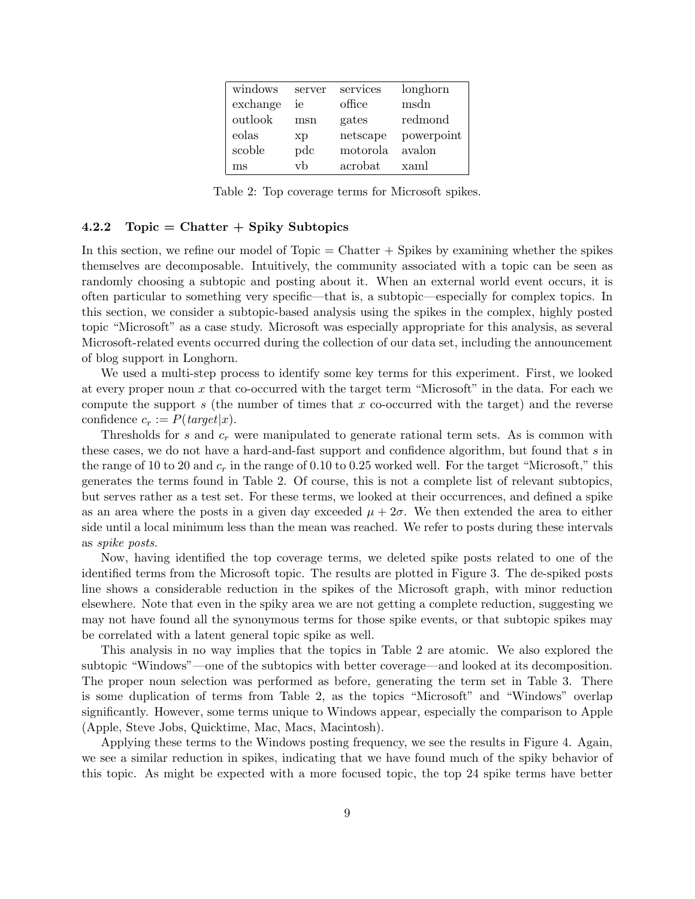| windows  | server    | services | longhorn   |
|----------|-----------|----------|------------|
| exchange | ie        | office   | msdn       |
| outlook  | msn       | gates    | redmond    |
| eolas    | <b>xp</b> | netscape | powerpoint |
| scoble   | pdc       | motorola | avalon     |
| ms       | vb        | acrobat  | xaml       |

Table 2: Top coverage terms for Microsoft spikes.

#### 4.2.2 Topic  $=$  Chatter  $+$  Spiky Subtopics

In this section, we refine our model of Topic  $=$  Chatter  $+$  Spikes by examining whether the spikes themselves are decomposable. Intuitively, the community associated with a topic can be seen as randomly choosing a subtopic and posting about it. When an external world event occurs, it is often particular to something very specific—that is, a subtopic—especially for complex topics. In this section, we consider a subtopic-based analysis using the spikes in the complex, highly posted topic "Microsoft" as a case study. Microsoft was especially appropriate for this analysis, as several Microsoft-related events occurred during the collection of our data set, including the announcement of blog support in Longhorn.

We used a multi-step process to identify some key terms for this experiment. First, we looked at every proper noun  $x$  that co-occurred with the target term "Microsoft" in the data. For each we compute the support  $s$  (the number of times that  $x$  co-occurred with the target) and the reverse confidence  $c_r := P(target|x)$ .

Thresholds for s and  $c_r$  were manipulated to generate rational term sets. As is common with these cases, we do not have a hard-and-fast support and confidence algorithm, but found that s in the range of 10 to 20 and  $c_r$  in the range of 0.10 to 0.25 worked well. For the target "Microsoft," this generates the terms found in Table 2. Of course, this is not a complete list of relevant subtopics, but serves rather as a test set. For these terms, we looked at their occurrences, and defined a spike as an area where the posts in a given day exceeded  $\mu + 2\sigma$ . We then extended the area to either side until a local minimum less than the mean was reached. We refer to posts during these intervals as spike posts.

Now, having identified the top coverage terms, we deleted spike posts related to one of the identified terms from the Microsoft topic. The results are plotted in Figure 3. The de-spiked posts line shows a considerable reduction in the spikes of the Microsoft graph, with minor reduction elsewhere. Note that even in the spiky area we are not getting a complete reduction, suggesting we may not have found all the synonymous terms for those spike events, or that subtopic spikes may be correlated with a latent general topic spike as well.

This analysis in no way implies that the topics in Table 2 are atomic. We also explored the subtopic "Windows"—one of the subtopics with better coverage—and looked at its decomposition. The proper noun selection was performed as before, generating the term set in Table 3. There is some duplication of terms from Table 2, as the topics "Microsoft" and "Windows" overlap significantly. However, some terms unique to Windows appear, especially the comparison to Apple (Apple, Steve Jobs, Quicktime, Mac, Macs, Macintosh).

Applying these terms to the Windows posting frequency, we see the results in Figure 4. Again, we see a similar reduction in spikes, indicating that we have found much of the spiky behavior of this topic. As might be expected with a more focused topic, the top 24 spike terms have better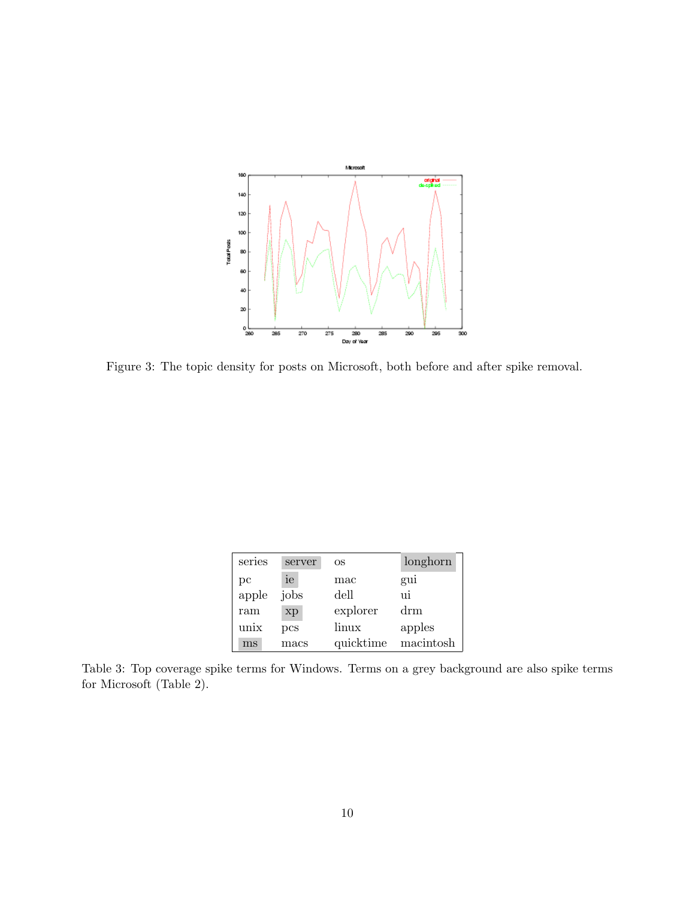

Figure 3: The topic density for posts on Microsoft, both before and after spike removal.

| series | server       | <b>OS</b> | longhorn   |
|--------|--------------|-----------|------------|
| pc     | ie           | mac       | gui        |
| apple  | jobs         | dell      | пi         |
| ram    | xp           | explorer  | $\rm{drm}$ |
| unix   | $_{\rm pcs}$ | linux     | apples     |
| ms     | macs         | quicktime | macintosh  |

Table 3: Top coverage spike terms for Windows. Terms on a grey background are also spike terms for Microsoft (Table 2).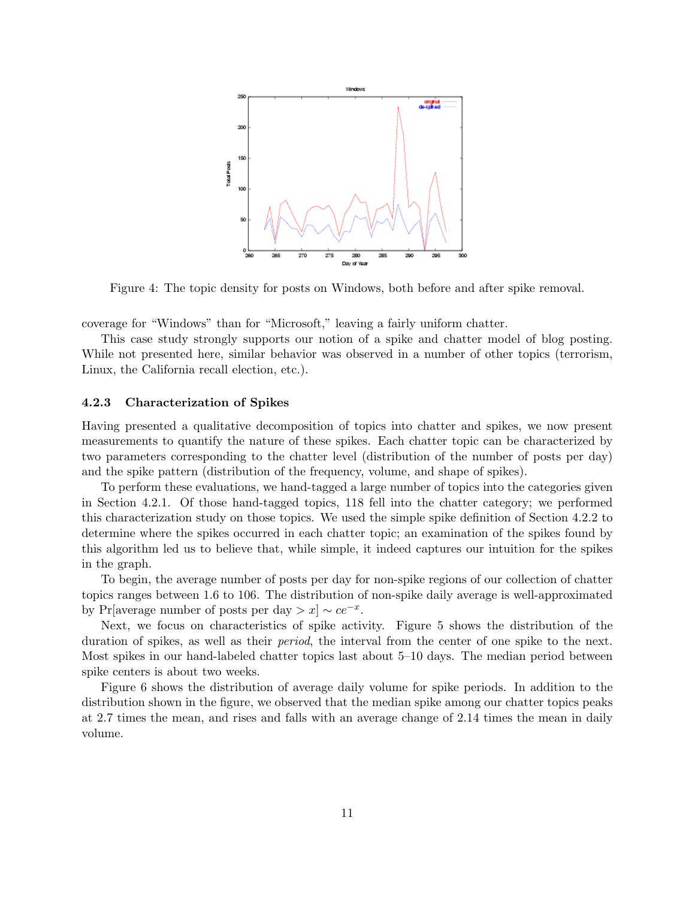

Figure 4: The topic density for posts on Windows, both before and after spike removal.

coverage for "Windows" than for "Microsoft," leaving a fairly uniform chatter.

This case study strongly supports our notion of a spike and chatter model of blog posting. While not presented here, similar behavior was observed in a number of other topics (terrorism, Linux, the California recall election, etc.).

#### 4.2.3 Characterization of Spikes

Having presented a qualitative decomposition of topics into chatter and spikes, we now present measurements to quantify the nature of these spikes. Each chatter topic can be characterized by two parameters corresponding to the chatter level (distribution of the number of posts per day) and the spike pattern (distribution of the frequency, volume, and shape of spikes).

To perform these evaluations, we hand-tagged a large number of topics into the categories given in Section 4.2.1. Of those hand-tagged topics, 118 fell into the chatter category; we performed this characterization study on those topics. We used the simple spike definition of Section 4.2.2 to determine where the spikes occurred in each chatter topic; an examination of the spikes found by this algorithm led us to believe that, while simple, it indeed captures our intuition for the spikes in the graph.

To begin, the average number of posts per day for non-spike regions of our collection of chatter topics ranges between 1.6 to 106. The distribution of non-spike daily average is well-approximated by Pr[average number of posts per day >  $x \mid \sim ce^{-x}$ .

Next, we focus on characteristics of spike activity. Figure 5 shows the distribution of the duration of spikes, as well as their period, the interval from the center of one spike to the next. Most spikes in our hand-labeled chatter topics last about 5–10 days. The median period between spike centers is about two weeks.

Figure 6 shows the distribution of average daily volume for spike periods. In addition to the distribution shown in the figure, we observed that the median spike among our chatter topics peaks at 2.7 times the mean, and rises and falls with an average change of 2.14 times the mean in daily volume.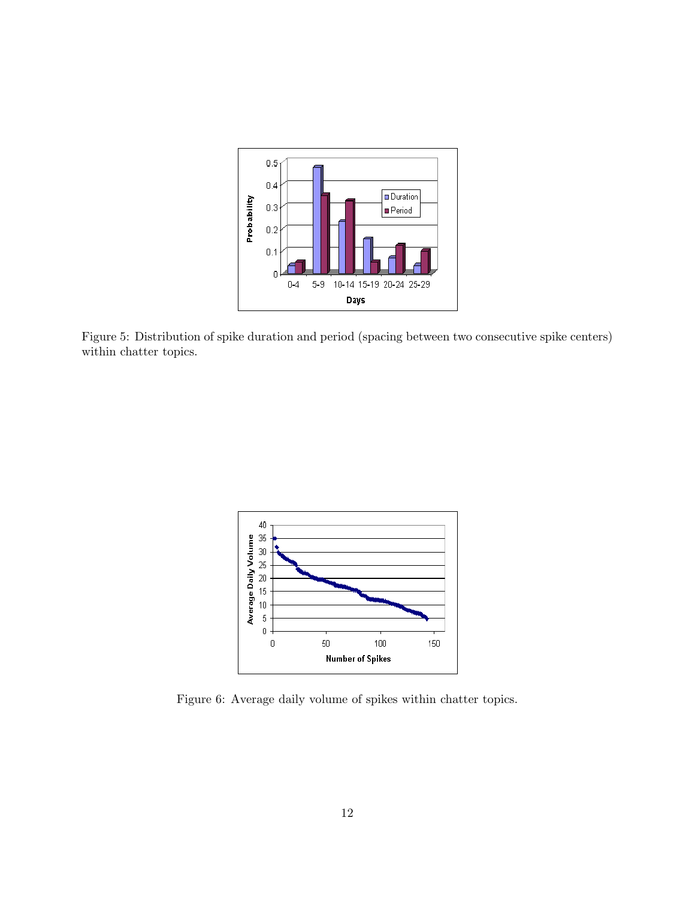

Figure 5: Distribution of spike duration and period (spacing between two consecutive spike centers) within chatter topics.



Figure 6: Average daily volume of spikes within chatter topics.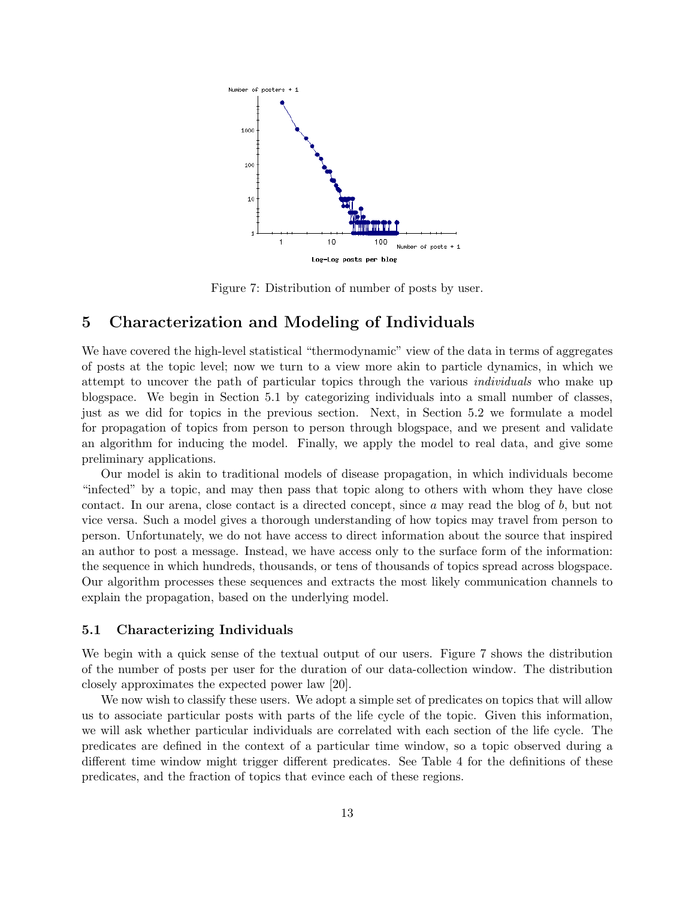

Figure 7: Distribution of number of posts by user.

## 5 Characterization and Modeling of Individuals

We have covered the high-level statistical "thermodynamic" view of the data in terms of aggregates of posts at the topic level; now we turn to a view more akin to particle dynamics, in which we attempt to uncover the path of particular topics through the various individuals who make up blogspace. We begin in Section 5.1 by categorizing individuals into a small number of classes, just as we did for topics in the previous section. Next, in Section 5.2 we formulate a model for propagation of topics from person to person through blogspace, and we present and validate an algorithm for inducing the model. Finally, we apply the model to real data, and give some preliminary applications.

Our model is akin to traditional models of disease propagation, in which individuals become "infected" by a topic, and may then pass that topic along to others with whom they have close contact. In our arena, close contact is a directed concept, since a may read the blog of b, but not vice versa. Such a model gives a thorough understanding of how topics may travel from person to person. Unfortunately, we do not have access to direct information about the source that inspired an author to post a message. Instead, we have access only to the surface form of the information: the sequence in which hundreds, thousands, or tens of thousands of topics spread across blogspace. Our algorithm processes these sequences and extracts the most likely communication channels to explain the propagation, based on the underlying model.

#### 5.1 Characterizing Individuals

We begin with a quick sense of the textual output of our users. Figure 7 shows the distribution of the number of posts per user for the duration of our data-collection window. The distribution closely approximates the expected power law [20].

We now wish to classify these users. We adopt a simple set of predicates on topics that will allow us to associate particular posts with parts of the life cycle of the topic. Given this information, we will ask whether particular individuals are correlated with each section of the life cycle. The predicates are defined in the context of a particular time window, so a topic observed during a different time window might trigger different predicates. See Table 4 for the definitions of these predicates, and the fraction of topics that evince each of these regions.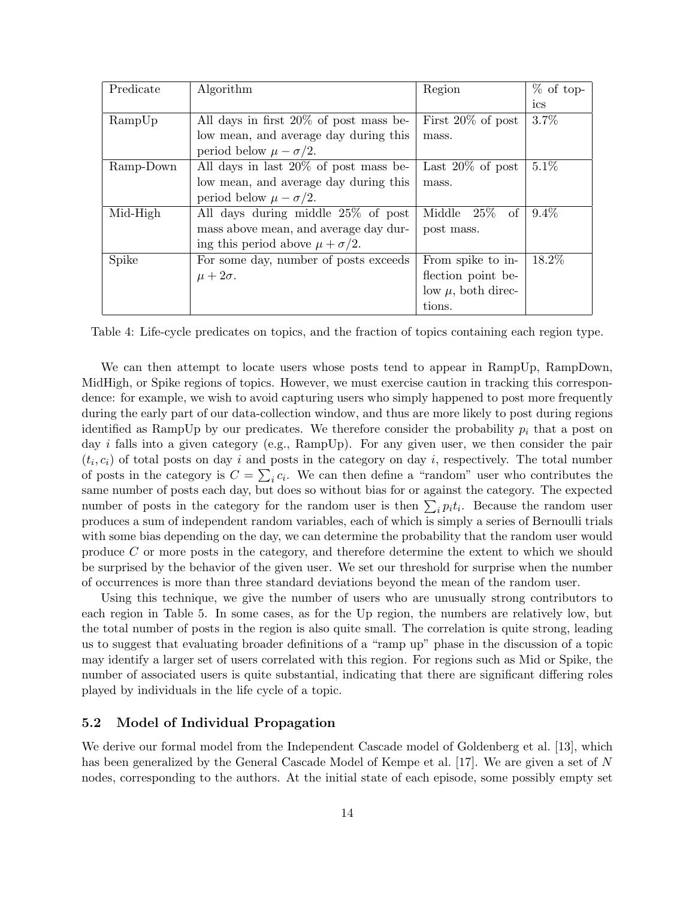| Predicate | Algorithm                                | Region                  | $%$ of top- |
|-----------|------------------------------------------|-------------------------|-------------|
|           |                                          |                         | ics         |
| RampUp    | All days in first 20% of post mass be-   | First $20\%$ of post    | $3.7\%$     |
|           | low mean, and average day during this    | mass.                   |             |
|           | period below $\mu - \sigma/2$ .          |                         |             |
| Ramp-Down | All days in last 20% of post mass be-    | Last $20\%$ of post     | $5.1\%$     |
|           | low mean, and average day during this    | mass.                   |             |
|           | period below $\mu - \sigma/2$ .          |                         |             |
| Mid-High  | All days during middle 25% of post       | Middle $25\%$ of        | $9.4\%$     |
|           | mass above mean, and average day dur-    | post mass.              |             |
|           | ing this period above $\mu + \sigma/2$ . |                         |             |
| Spike     | For some day, number of posts exceeds    | From spike to in-       | 18.2%       |
|           | $\mu + 2\sigma$ .                        | flection point be-      |             |
|           |                                          | low $\mu$ , both direc- |             |
|           |                                          | tions.                  |             |

Table 4: Life-cycle predicates on topics, and the fraction of topics containing each region type.

We can then attempt to locate users whose posts tend to appear in RampUp, RampDown. MidHigh, or Spike regions of topics. However, we must exercise caution in tracking this correspondence: for example, we wish to avoid capturing users who simply happened to post more frequently during the early part of our data-collection window, and thus are more likely to post during regions identified as RampUp by our predicates. We therefore consider the probability  $p_i$  that a post on day i falls into a given category (e.g.,  $\text{RampUp}$ ). For any given user, we then consider the pair  $(t_i, c_i)$  of total posts on day i and posts in the category on day i, respectively. The total number of posts in the category is  $C = \sum_i c_i$ . We can then define a "random" user who contributes the same number of posts each day, but does so without bias for or against the category. The expected number of posts in the category for the random user is then  $\sum_i p_i t_i$ . Because the random user produces a sum of independent random variables, each of which is simply a series of Bernoulli trials with some bias depending on the day, we can determine the probability that the random user would produce C or more posts in the category, and therefore determine the extent to which we should be surprised by the behavior of the given user. We set our threshold for surprise when the number of occurrences is more than three standard deviations beyond the mean of the random user.

Using this technique, we give the number of users who are unusually strong contributors to each region in Table 5. In some cases, as for the Up region, the numbers are relatively low, but the total number of posts in the region is also quite small. The correlation is quite strong, leading us to suggest that evaluating broader definitions of a "ramp up" phase in the discussion of a topic may identify a larger set of users correlated with this region. For regions such as Mid or Spike, the number of associated users is quite substantial, indicating that there are significant differing roles played by individuals in the life cycle of a topic.

### 5.2 Model of Individual Propagation

We derive our formal model from the Independent Cascade model of Goldenberg et al. [13], which has been generalized by the General Cascade Model of Kempe et al. [17]. We are given a set of N nodes, corresponding to the authors. At the initial state of each episode, some possibly empty set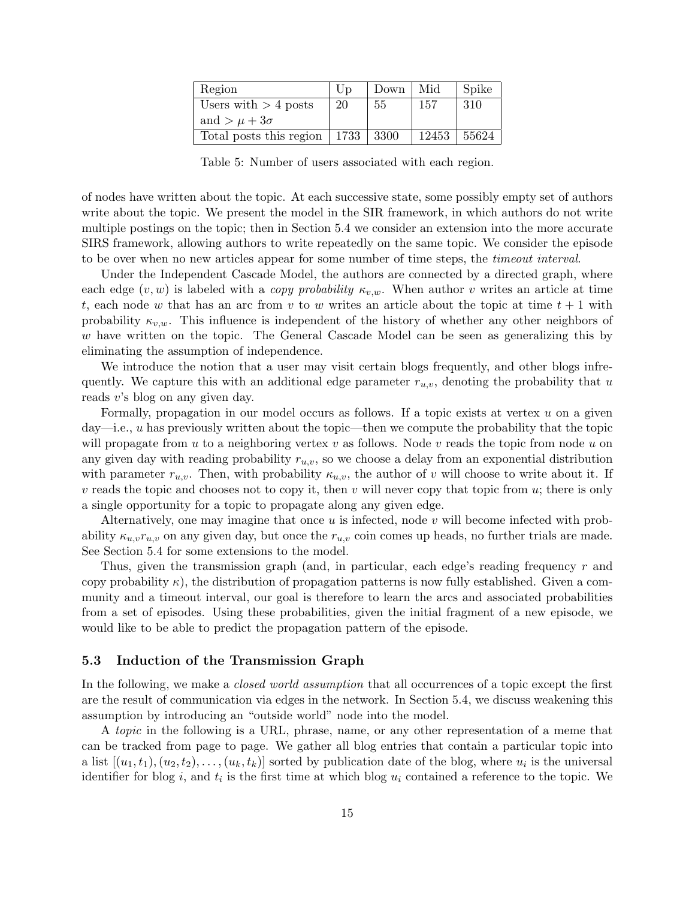| Region                         | $\rm Un$ | Down | Mid   | Spike |
|--------------------------------|----------|------|-------|-------|
| Users with $> 4$ posts         | 20       | 55   | 157   | 310   |
| and $>\mu+3\sigma$             |          |      |       |       |
| Total posts this region   1733 |          | 3300 | 12453 | 55624 |

Table 5: Number of users associated with each region.

of nodes have written about the topic. At each successive state, some possibly empty set of authors write about the topic. We present the model in the SIR framework, in which authors do not write multiple postings on the topic; then in Section 5.4 we consider an extension into the more accurate SIRS framework, allowing authors to write repeatedly on the same topic. We consider the episode to be over when no new articles appear for some number of time steps, the timeout interval.

Under the Independent Cascade Model, the authors are connected by a directed graph, where each edge  $(v, w)$  is labeled with a *copy probability*  $\kappa_{v,w}$ . When author v writes an article at time t, each node w that has an arc from v to w writes an article about the topic at time  $t + 1$  with probability  $\kappa_{v,w}$ . This influence is independent of the history of whether any other neighbors of w have written on the topic. The General Cascade Model can be seen as generalizing this by eliminating the assumption of independence.

We introduce the notion that a user may visit certain blogs frequently, and other blogs infrequently. We capture this with an additional edge parameter  $r_{u,v}$ , denoting the probability that u reads v's blog on any given day.

Formally, propagation in our model occurs as follows. If a topic exists at vertex  $u$  on a given day—i.e., u has previously written about the topic—then we compute the probability that the topic will propagate from  $u$  to a neighboring vertex  $v$  as follows. Node  $v$  reads the topic from node  $u$  on any given day with reading probability  $r_{u,v}$ , so we choose a delay from an exponential distribution with parameter  $r_{u,v}$ . Then, with probability  $\kappa_{u,v}$ , the author of v will choose to write about it. If v reads the topic and chooses not to copy it, then v will never copy that topic from  $u$ ; there is only a single opportunity for a topic to propagate along any given edge.

Alternatively, one may imagine that once  $u$  is infected, node  $v$  will become infected with probability  $\kappa_{u,v}r_{u,v}$  on any given day, but once the  $r_{u,v}$  coin comes up heads, no further trials are made. See Section 5.4 for some extensions to the model.

Thus, given the transmission graph (and, in particular, each edge's reading frequency r and copy probability  $\kappa$ ), the distribution of propagation patterns is now fully established. Given a community and a timeout interval, our goal is therefore to learn the arcs and associated probabilities from a set of episodes. Using these probabilities, given the initial fragment of a new episode, we would like to be able to predict the propagation pattern of the episode.

#### 5.3 Induction of the Transmission Graph

In the following, we make a *closed world assumption* that all occurrences of a topic except the first are the result of communication via edges in the network. In Section 5.4, we discuss weakening this assumption by introducing an "outside world" node into the model.

A topic in the following is a URL, phrase, name, or any other representation of a meme that can be tracked from page to page. We gather all blog entries that contain a particular topic into a list  $[(u_1, t_1), (u_2, t_2), \ldots, (u_k, t_k)]$  sorted by publication date of the blog, where  $u_i$  is the universal identifier for blog i, and  $t_i$  is the first time at which blog  $u_i$  contained a reference to the topic. We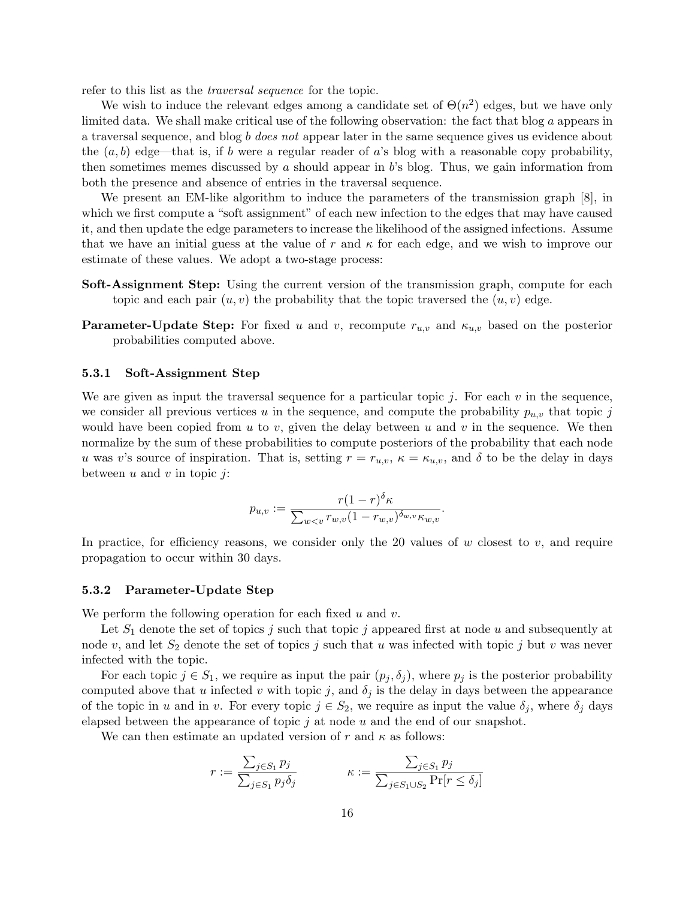refer to this list as the traversal sequence for the topic.

We wish to induce the relevant edges among a candidate set of  $\Theta(n^2)$  edges, but we have only limited data. We shall make critical use of the following observation: the fact that blog  $\alpha$  appears in a traversal sequence, and blog b does not appear later in the same sequence gives us evidence about the  $(a, b)$  edge—that is, if b were a regular reader of a's blog with a reasonable copy probability, then sometimes memes discussed by a should appear in b's blog. Thus, we gain information from both the presence and absence of entries in the traversal sequence.

We present an EM-like algorithm to induce the parameters of the transmission graph [8], in which we first compute a "soft assignment" of each new infection to the edges that may have caused it, and then update the edge parameters to increase the likelihood of the assigned infections. Assume that we have an initial guess at the value of r and  $\kappa$  for each edge, and we wish to improve our estimate of these values. We adopt a two-stage process:

- Soft-Assignment Step: Using the current version of the transmission graph, compute for each topic and each pair  $(u, v)$  the probability that the topic traversed the  $(u, v)$  edge.
- **Parameter-Update Step:** For fixed u and v, recompute  $r_{u,v}$  and  $\kappa_{u,v}$  based on the posterior probabilities computed above.

#### 5.3.1 Soft-Assignment Step

We are given as input the traversal sequence for a particular topic  $j$ . For each  $v$  in the sequence, we consider all previous vertices u in the sequence, and compute the probability  $p_{u,v}$  that topic j would have been copied from u to v, given the delay between u and v in the sequence. We then normalize by the sum of these probabilities to compute posteriors of the probability that each node u was v's source of inspiration. That is, setting  $r = r_{u,v}$ ,  $\kappa = \kappa_{u,v}$ , and  $\delta$  to be the delay in days between  $u$  and  $v$  in topic  $j$ :

$$
p_{u,v} := \frac{r(1-r)^{\delta}\kappa}{\sum_{w
$$

In practice, for efficiency reasons, we consider only the 20 values of  $w$  closest to  $v$ , and require propagation to occur within 30 days.

#### 5.3.2 Parameter-Update Step

We perform the following operation for each fixed  $u$  and  $v$ .

Let  $S_1$  denote the set of topics j such that topic j appeared first at node u and subsequently at node v, and let  $S_2$  denote the set of topics j such that u was infected with topic j but v was never infected with the topic.

For each topic  $j \in S_1$ , we require as input the pair  $(p_j, \delta_j)$ , where  $p_j$  is the posterior probability computed above that u infected v with topic j, and  $\delta_j$  is the delay in days between the appearance of the topic in u and in v. For every topic  $j \in S_2$ , we require as input the value  $\delta_j$ , where  $\delta_j$  days elapsed between the appearance of topic j at node u and the end of our snapshot.

We can then estimate an updated version of r and  $\kappa$  as follows:

$$
r := \frac{\sum_{j \in S_1} p_j}{\sum_{j \in S_1} p_j \delta_j} \qquad \qquad \kappa := \frac{\sum_{j \in S_1} p_j}{\sum_{j \in S_1 \cup S_2} \Pr[r \le \delta_j]}
$$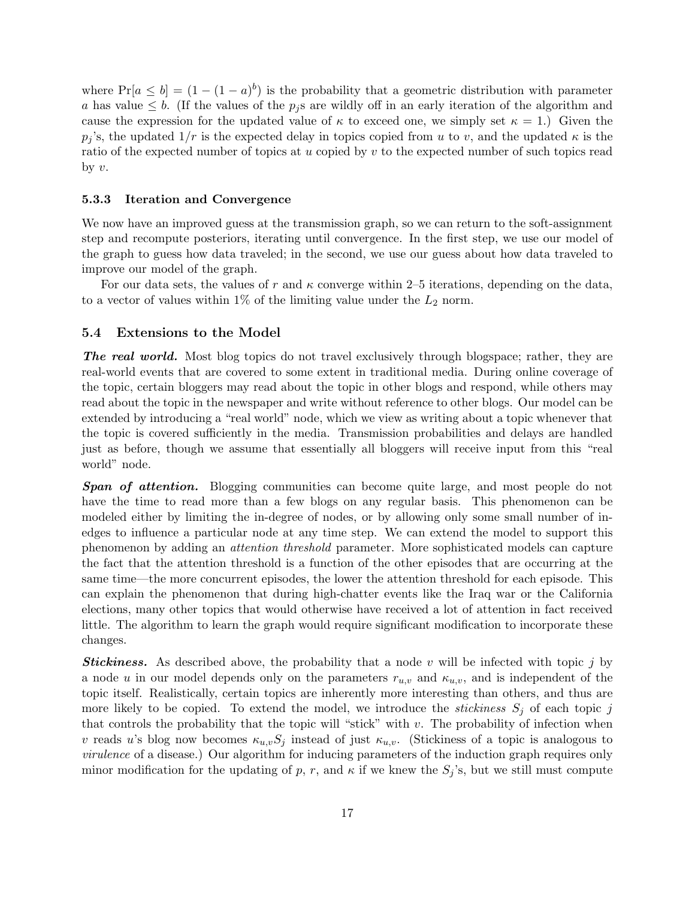where  $Pr[a \le b] = (1 - (1 - a)^b)$  is the probability that a geometric distribution with parameter a has value  $\leq b$ . (If the values of the  $p_i$  s are wildly off in an early iteration of the algorithm and cause the expression for the updated value of  $\kappa$  to exceed one, we simply set  $\kappa = 1$ .) Given the  $p_j$ 's, the updated  $1/r$  is the expected delay in topics copied from u to v, and the updated  $\kappa$  is the ratio of the expected number of topics at u copied by v to the expected number of such topics read by  $v$ .

#### 5.3.3 Iteration and Convergence

We now have an improved guess at the transmission graph, so we can return to the soft-assignment step and recompute posteriors, iterating until convergence. In the first step, we use our model of the graph to guess how data traveled; in the second, we use our guess about how data traveled to improve our model of the graph.

For our data sets, the values of r and  $\kappa$  converge within 2–5 iterations, depending on the data, to a vector of values within 1% of the limiting value under the  $L_2$  norm.

#### 5.4 Extensions to the Model

**The real world.** Most blog topics do not travel exclusively through blogspace; rather, they are real-world events that are covered to some extent in traditional media. During online coverage of the topic, certain bloggers may read about the topic in other blogs and respond, while others may read about the topic in the newspaper and write without reference to other blogs. Our model can be extended by introducing a "real world" node, which we view as writing about a topic whenever that the topic is covered sufficiently in the media. Transmission probabilities and delays are handled just as before, though we assume that essentially all bloggers will receive input from this "real world" node.

**Span of attention.** Blogging communities can become quite large, and most people do not have the time to read more than a few blogs on any regular basis. This phenomenon can be modeled either by limiting the in-degree of nodes, or by allowing only some small number of inedges to influence a particular node at any time step. We can extend the model to support this phenomenon by adding an attention threshold parameter. More sophisticated models can capture the fact that the attention threshold is a function of the other episodes that are occurring at the same time—the more concurrent episodes, the lower the attention threshold for each episode. This can explain the phenomenon that during high-chatter events like the Iraq war or the California elections, many other topics that would otherwise have received a lot of attention in fact received little. The algorithm to learn the graph would require significant modification to incorporate these changes.

**Stickiness.** As described above, the probability that a node v will be infected with topic j by a node u in our model depends only on the parameters  $r_{u,v}$  and  $\kappa_{u,v}$ , and is independent of the topic itself. Realistically, certain topics are inherently more interesting than others, and thus are more likely to be copied. To extend the model, we introduce the *stickiness*  $S_i$  of each topic j that controls the probability that the topic will "stick" with  $v$ . The probability of infection when v reads u's blog now becomes  $\kappa_{u,v}S_j$  instead of just  $\kappa_{u,v}$ . (Stickiness of a topic is analogous to virulence of a disease.) Our algorithm for inducing parameters of the induction graph requires only minor modification for the updating of p, r, and  $\kappa$  if we knew the  $S_j$ 's, but we still must compute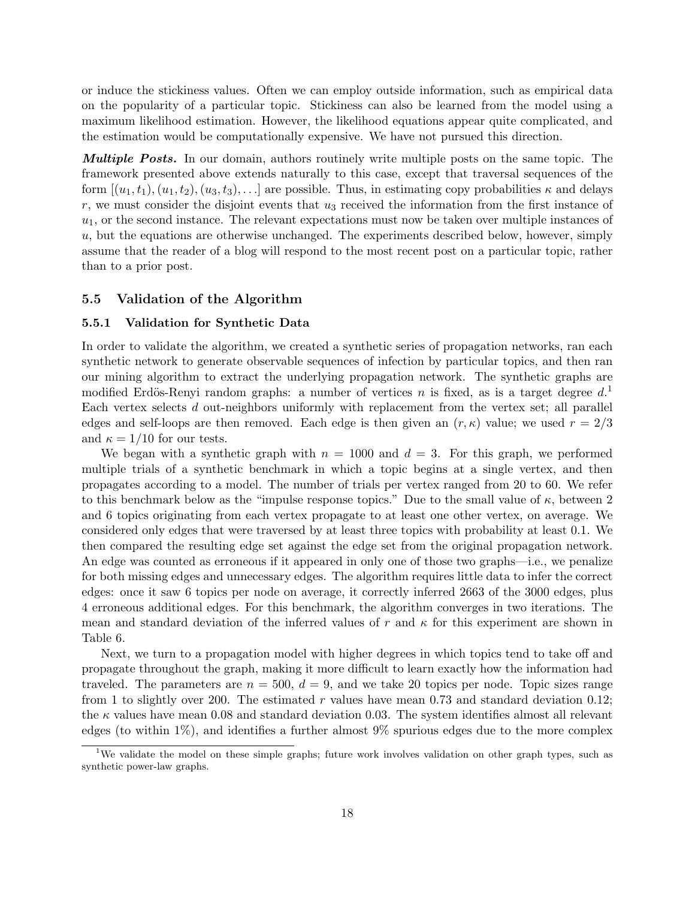or induce the stickiness values. Often we can employ outside information, such as empirical data on the popularity of a particular topic. Stickiness can also be learned from the model using a maximum likelihood estimation. However, the likelihood equations appear quite complicated, and the estimation would be computationally expensive. We have not pursued this direction.

*Multiple Posts.* In our domain, authors routinely write multiple posts on the same topic. The framework presented above extends naturally to this case, except that traversal sequences of the form  $[(u_1, t_1), (u_1, t_2), (u_3, t_3), \ldots]$  are possible. Thus, in estimating copy probabilities  $\kappa$  and delays r, we must consider the disjoint events that  $u_3$  received the information from the first instance of  $u_1$ , or the second instance. The relevant expectations must now be taken over multiple instances of u, but the equations are otherwise unchanged. The experiments described below, however, simply assume that the reader of a blog will respond to the most recent post on a particular topic, rather than to a prior post.

#### 5.5 Validation of the Algorithm

#### 5.5.1 Validation for Synthetic Data

In order to validate the algorithm, we created a synthetic series of propagation networks, ran each synthetic network to generate observable sequences of infection by particular topics, and then ran our mining algorithm to extract the underlying propagation network. The synthetic graphs are modified Erdös-Renyi random graphs: a number of vertices n is fixed, as is a target degree  $d<sup>1</sup>$ Each vertex selects d out-neighbors uniformly with replacement from the vertex set; all parallel edges and self-loops are then removed. Each edge is then given an  $(r, \kappa)$  value; we used  $r = 2/3$ and  $\kappa = 1/10$  for our tests.

We began with a synthetic graph with  $n = 1000$  and  $d = 3$ . For this graph, we performed multiple trials of a synthetic benchmark in which a topic begins at a single vertex, and then propagates according to a model. The number of trials per vertex ranged from 20 to 60. We refer to this benchmark below as the "impulse response topics." Due to the small value of  $\kappa$ , between 2 and 6 topics originating from each vertex propagate to at least one other vertex, on average. We considered only edges that were traversed by at least three topics with probability at least 0.1. We then compared the resulting edge set against the edge set from the original propagation network. An edge was counted as erroneous if it appeared in only one of those two graphs—i.e., we penalize for both missing edges and unnecessary edges. The algorithm requires little data to infer the correct edges: once it saw 6 topics per node on average, it correctly inferred 2663 of the 3000 edges, plus 4 erroneous additional edges. For this benchmark, the algorithm converges in two iterations. The mean and standard deviation of the inferred values of r and  $\kappa$  for this experiment are shown in Table 6.

Next, we turn to a propagation model with higher degrees in which topics tend to take off and propagate throughout the graph, making it more difficult to learn exactly how the information had traveled. The parameters are  $n = 500$ ,  $d = 9$ , and we take 20 topics per node. Topic sizes range from 1 to slightly over 200. The estimated r values have mean 0.73 and standard deviation 0.12; the  $\kappa$  values have mean 0.08 and standard deviation 0.03. The system identifies almost all relevant edges (to within 1%), and identifies a further almost 9% spurious edges due to the more complex

 $1$ We validate the model on these simple graphs; future work involves validation on other graph types, such as synthetic power-law graphs.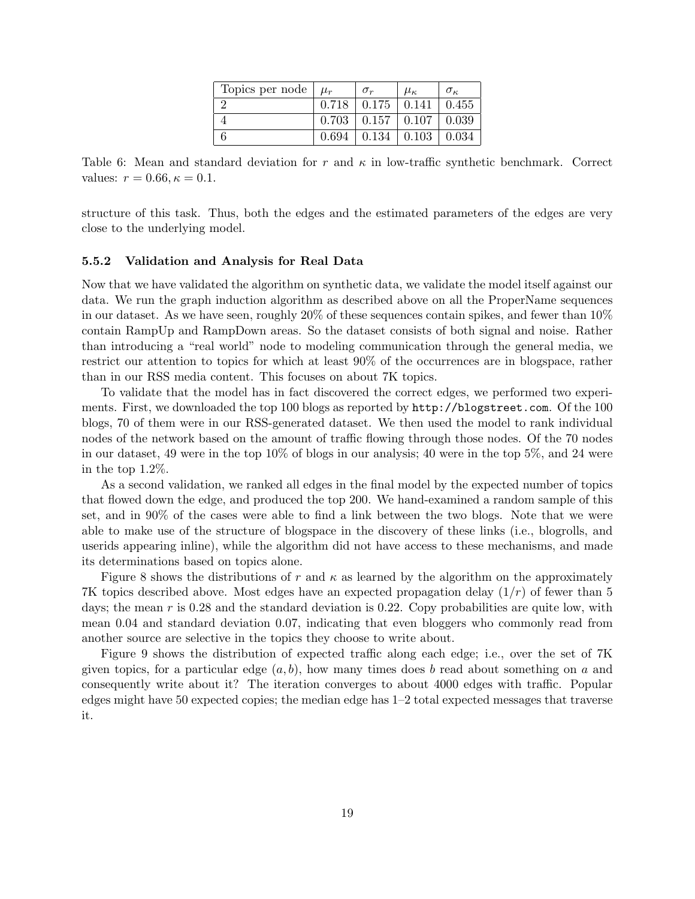| Topics per node $\mu_r$ |       | $\sigma_{r}$                 | $\mu_{\kappa}$ | $\sigma_{\kappa}$ |
|-------------------------|-------|------------------------------|----------------|-------------------|
|                         | 0.718 | $0.175$                      | 0.141          | 0.455             |
|                         | 0.703 | $\mid 0.157 \mid 0.107 \mid$ |                | 0.039             |
|                         | 0.694 | $0.134 \pm 0.103$            |                | 0.034             |

Table 6: Mean and standard deviation for r and  $\kappa$  in low-traffic synthetic benchmark. Correct values:  $r = 0.66, \kappa = 0.1$ .

structure of this task. Thus, both the edges and the estimated parameters of the edges are very close to the underlying model.

#### 5.5.2 Validation and Analysis for Real Data

Now that we have validated the algorithm on synthetic data, we validate the model itself against our data. We run the graph induction algorithm as described above on all the ProperName sequences in our dataset. As we have seen, roughly 20% of these sequences contain spikes, and fewer than 10% contain RampUp and RampDown areas. So the dataset consists of both signal and noise. Rather than introducing a "real world" node to modeling communication through the general media, we restrict our attention to topics for which at least 90% of the occurrences are in blogspace, rather than in our RSS media content. This focuses on about 7K topics.

To validate that the model has in fact discovered the correct edges, we performed two experiments. First, we downloaded the top 100 blogs as reported by http://blogstreet.com. Of the 100 blogs, 70 of them were in our RSS-generated dataset. We then used the model to rank individual nodes of the network based on the amount of traffic flowing through those nodes. Of the 70 nodes in our dataset, 49 were in the top 10% of blogs in our analysis; 40 were in the top 5%, and 24 were in the top 1.2%.

As a second validation, we ranked all edges in the final model by the expected number of topics that flowed down the edge, and produced the top 200. We hand-examined a random sample of this set, and in 90% of the cases were able to find a link between the two blogs. Note that we were able to make use of the structure of blogspace in the discovery of these links (i.e., blogrolls, and userids appearing inline), while the algorithm did not have access to these mechanisms, and made its determinations based on topics alone.

Figure 8 shows the distributions of r and  $\kappa$  as learned by the algorithm on the approximately 7K topics described above. Most edges have an expected propagation delay  $(1/r)$  of fewer than 5 days; the mean r is 0.28 and the standard deviation is 0.22. Copy probabilities are quite low, with mean 0.04 and standard deviation 0.07, indicating that even bloggers who commonly read from another source are selective in the topics they choose to write about.

Figure 9 shows the distribution of expected traffic along each edge; i.e., over the set of 7K given topics, for a particular edge  $(a, b)$ , how many times does b read about something on a and consequently write about it? The iteration converges to about 4000 edges with traffic. Popular edges might have 50 expected copies; the median edge has 1–2 total expected messages that traverse it.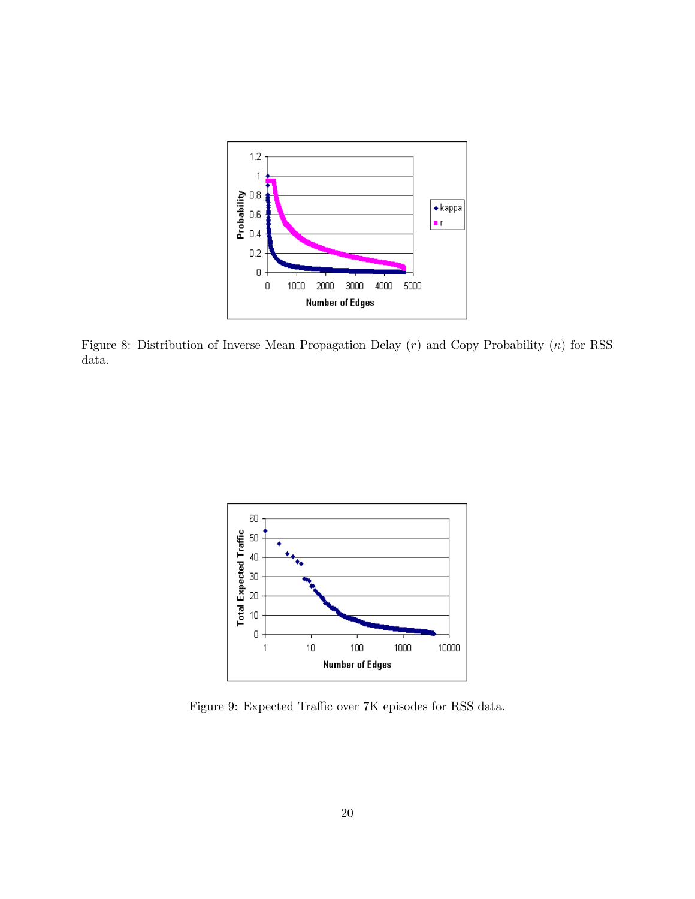

Figure 8: Distribution of Inverse Mean Propagation Delay  $(r)$  and Copy Probability  $(\kappa)$  for RSS data.



Figure 9: Expected Traffic over 7K episodes for RSS data.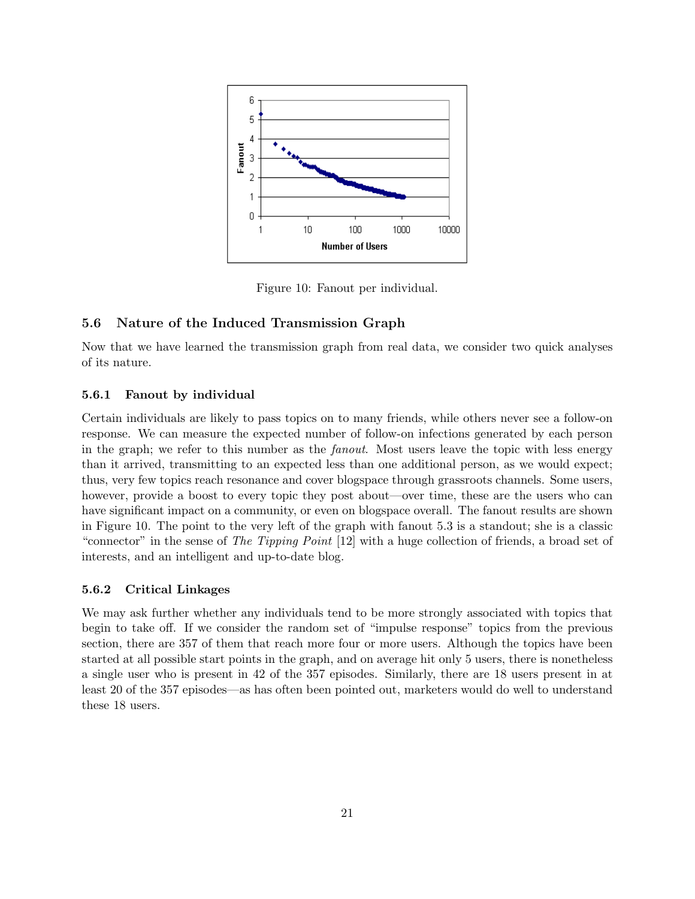

Figure 10: Fanout per individual.

### 5.6 Nature of the Induced Transmission Graph

Now that we have learned the transmission graph from real data, we consider two quick analyses of its nature.

#### 5.6.1 Fanout by individual

Certain individuals are likely to pass topics on to many friends, while others never see a follow-on response. We can measure the expected number of follow-on infections generated by each person in the graph; we refer to this number as the fanout. Most users leave the topic with less energy than it arrived, transmitting to an expected less than one additional person, as we would expect; thus, very few topics reach resonance and cover blogspace through grassroots channels. Some users, however, provide a boost to every topic they post about—over time, these are the users who can have significant impact on a community, or even on blogspace overall. The fanout results are shown in Figure 10. The point to the very left of the graph with fanout 5.3 is a standout; she is a classic "connector" in the sense of The Tipping Point [12] with a huge collection of friends, a broad set of interests, and an intelligent and up-to-date blog.

#### 5.6.2 Critical Linkages

We may ask further whether any individuals tend to be more strongly associated with topics that begin to take off. If we consider the random set of "impulse response" topics from the previous section, there are 357 of them that reach more four or more users. Although the topics have been started at all possible start points in the graph, and on average hit only 5 users, there is nonetheless a single user who is present in 42 of the 357 episodes. Similarly, there are 18 users present in at least 20 of the 357 episodes—as has often been pointed out, marketers would do well to understand these 18 users.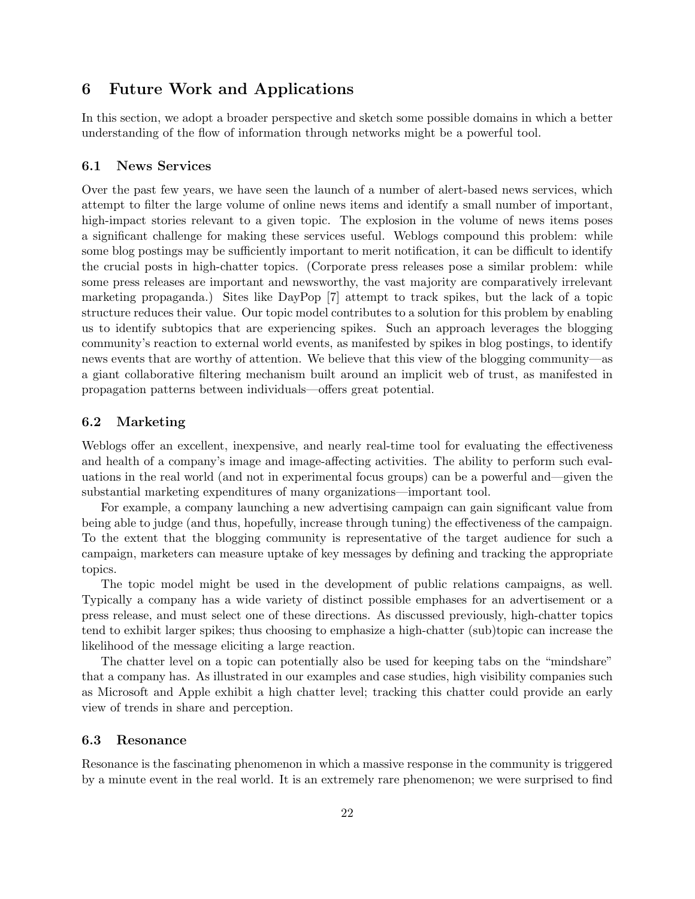## 6 Future Work and Applications

In this section, we adopt a broader perspective and sketch some possible domains in which a better understanding of the flow of information through networks might be a powerful tool.

### 6.1 News Services

Over the past few years, we have seen the launch of a number of alert-based news services, which attempt to filter the large volume of online news items and identify a small number of important, high-impact stories relevant to a given topic. The explosion in the volume of news items poses a significant challenge for making these services useful. Weblogs compound this problem: while some blog postings may be sufficiently important to merit notification, it can be difficult to identify the crucial posts in high-chatter topics. (Corporate press releases pose a similar problem: while some press releases are important and newsworthy, the vast majority are comparatively irrelevant marketing propaganda.) Sites like DayPop [7] attempt to track spikes, but the lack of a topic structure reduces their value. Our topic model contributes to a solution for this problem by enabling us to identify subtopics that are experiencing spikes. Such an approach leverages the blogging community's reaction to external world events, as manifested by spikes in blog postings, to identify news events that are worthy of attention. We believe that this view of the blogging community—as a giant collaborative filtering mechanism built around an implicit web of trust, as manifested in propagation patterns between individuals—offers great potential.

#### 6.2 Marketing

Weblogs offer an excellent, inexpensive, and nearly real-time tool for evaluating the effectiveness and health of a company's image and image-affecting activities. The ability to perform such evaluations in the real world (and not in experimental focus groups) can be a powerful and—given the substantial marketing expenditures of many organizations—important tool.

For example, a company launching a new advertising campaign can gain significant value from being able to judge (and thus, hopefully, increase through tuning) the effectiveness of the campaign. To the extent that the blogging community is representative of the target audience for such a campaign, marketers can measure uptake of key messages by defining and tracking the appropriate topics.

The topic model might be used in the development of public relations campaigns, as well. Typically a company has a wide variety of distinct possible emphases for an advertisement or a press release, and must select one of these directions. As discussed previously, high-chatter topics tend to exhibit larger spikes; thus choosing to emphasize a high-chatter (sub)topic can increase the likelihood of the message eliciting a large reaction.

The chatter level on a topic can potentially also be used for keeping tabs on the "mindshare" that a company has. As illustrated in our examples and case studies, high visibility companies such as Microsoft and Apple exhibit a high chatter level; tracking this chatter could provide an early view of trends in share and perception.

#### 6.3 Resonance

Resonance is the fascinating phenomenon in which a massive response in the community is triggered by a minute event in the real world. It is an extremely rare phenomenon; we were surprised to find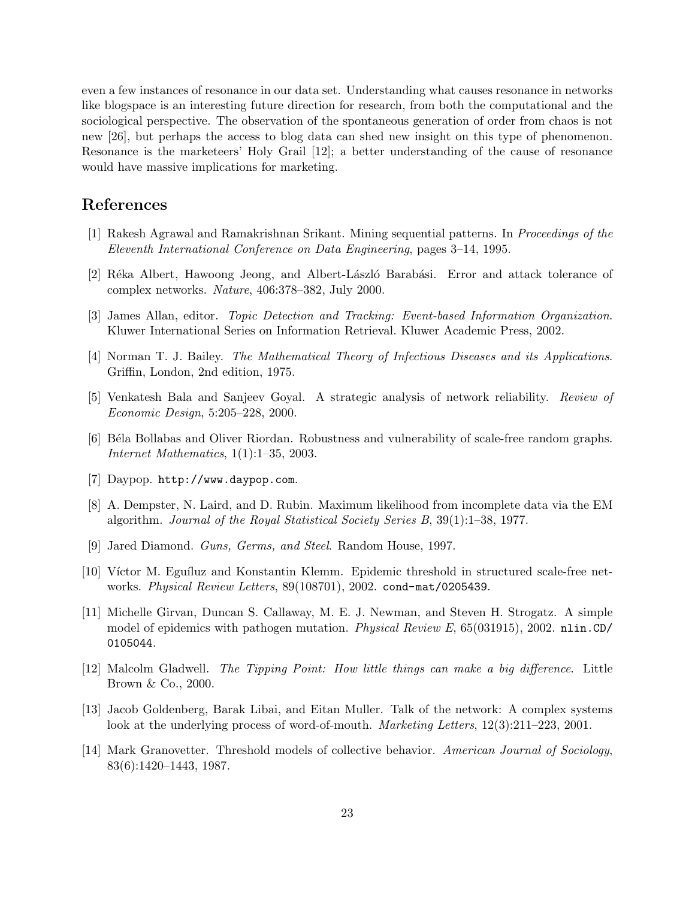even a few instances of resonance in our data set. Understanding what causes resonance in networks like blogspace is an interesting future direction for research, from both the computational and the sociological perspective. The observation of the spontaneous generation of order from chaos is not new [26], but perhaps the access to blog data can shed new insight on this type of phenomenon. Resonance is the marketeers' Holy Grail [12]; a better understanding of the cause of resonance would have massive implications for marketing.

## References

- [1] Rakesh Agrawal and Ramakrishnan Srikant. Mining sequential patterns. In Proceedings of the Eleventh International Conference on Data Engineering, pages 3–14, 1995.
- [2] Réka Albert, Hawoong Jeong, and Albert-László Barabási. Error and attack tolerance of complex networks. Nature, 406:378–382, July 2000.
- [3] James Allan, editor. Topic Detection and Tracking: Event-based Information Organization. Kluwer International Series on Information Retrieval. Kluwer Academic Press, 2002.
- [4] Norman T. J. Bailey. The Mathematical Theory of Infectious Diseases and its Applications. Griffin, London, 2nd edition, 1975.
- [5] Venkatesh Bala and Sanjeev Goyal. A strategic analysis of network reliability. Review of Economic Design, 5:205–228, 2000.
- [6] B´ela Bollabas and Oliver Riordan. Robustness and vulnerability of scale-free random graphs. Internet Mathematics, 1(1):1–35, 2003.
- [7] Daypop. http://www.daypop.com.
- [8] A. Dempster, N. Laird, and D. Rubin. Maximum likelihood from incomplete data via the EM algorithm. Journal of the Royal Statistical Society Series B, 39(1):1–38, 1977.
- [9] Jared Diamond. Guns, Germs, and Steel. Random House, 1997.
- [10] Víctor M. Eguíluz and Konstantin Klemm. Epidemic threshold in structured scale-free networks. Physical Review Letters, 89(108701), 2002. cond-mat/0205439.
- [11] Michelle Girvan, Duncan S. Callaway, M. E. J. Newman, and Steven H. Strogatz. A simple model of epidemics with pathogen mutation. Physical Review E,  $65(031915)$ , 2002. nlin.CD/ 0105044.
- [12] Malcolm Gladwell. The Tipping Point: How little things can make a big difference. Little Brown & Co., 2000.
- [13] Jacob Goldenberg, Barak Libai, and Eitan Muller. Talk of the network: A complex systems look at the underlying process of word-of-mouth. *Marketing Letters*, 12(3):211–223, 2001.
- [14] Mark Granovetter. Threshold models of collective behavior. American Journal of Sociology, 83(6):1420–1443, 1987.